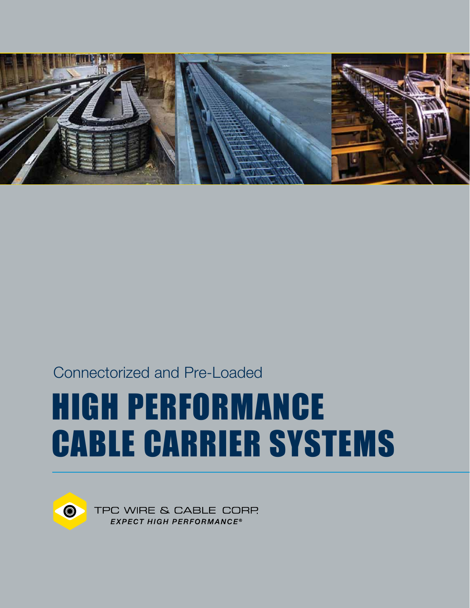

### Connectorized and Pre-Loaded

# HIGH PERFORMANCE CABLE CARRIER SYSTEMS



TPC WIRE & CABLE CORP **EXPECT HIGH PERFORMANCE®**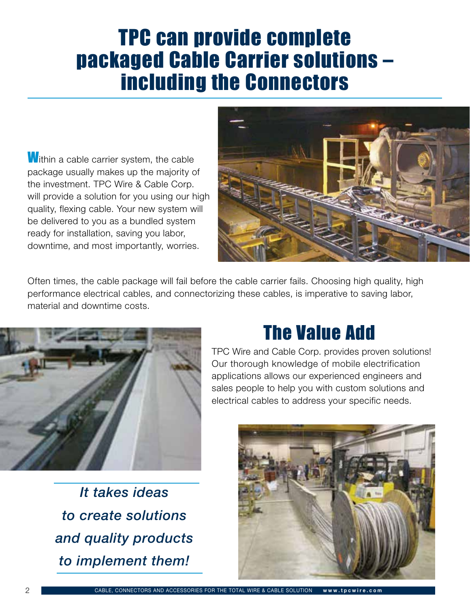## TPC can provide complete packaged Cable Carrier solutions – including the Connectors

**W**ithin a cable carrier system, the cable package usually makes up the majority of the investment. TPC Wire & Cable Corp. will provide a solution for you using our high quality, flexing cable. Your new system will be delivered to you as a bundled system ready for installation, saving you labor, downtime, and most importantly, worries.



Often times, the cable package will fail before the cable carrier fails. Choosing high quality, high performance electrical cables, and connectorizing these cables, is imperative to saving labor, material and downtime costs.



## The Value Add

TPC Wire and Cable Corp. provides proven solutions! Our thorough knowledge of mobile electrification applications allows our experienced engineers and sales people to help you with custom solutions and electrical cables to address your specific needs.

*It takes ideas to create solutions and quality products to implement them!*

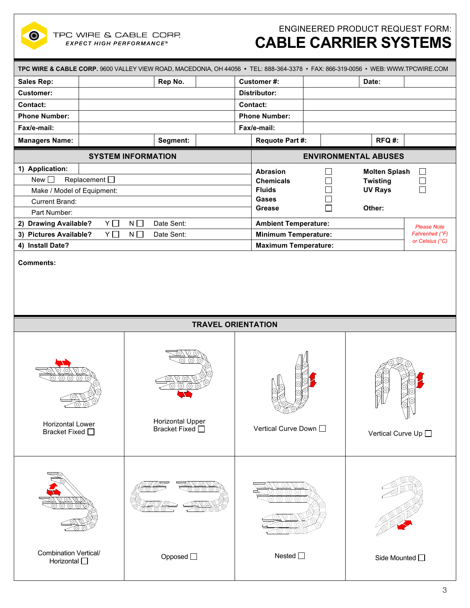

ENGINEERED PRODUCT REQUEST FORM:

### **CABLE CARRIER SYSTEMS**

| TPC WIRE & CABLE CORP. 9600 VALLEY VIEW ROAD, MACEDONIA, OH 44056 · TEL: 888-364-3378 · FAX: 866-319-0056 · WEB: WWW.TPCWIRE.COM |               |                                            |                             |                                                   |                                                |                      |         |  |  |  |  |
|----------------------------------------------------------------------------------------------------------------------------------|---------------|--------------------------------------------|-----------------------------|---------------------------------------------------|------------------------------------------------|----------------------|---------|--|--|--|--|
| Sales Rep:                                                                                                                       | Rep No.       |                                            | Customer#:                  |                                                   | Date:                                          |                      |         |  |  |  |  |
| <b>Customer:</b>                                                                                                                 |               |                                            |                             | <b>Distributor:</b>                               |                                                |                      |         |  |  |  |  |
| Contact:                                                                                                                         |               |                                            |                             | Contact:                                          |                                                |                      |         |  |  |  |  |
| <b>Phone Number:</b>                                                                                                             |               | <b>Phone Number:</b>                       |                             |                                                   |                                                |                      |         |  |  |  |  |
| Fax/e-mail:                                                                                                                      |               |                                            | Fax/e-mail:                 |                                                   |                                                |                      |         |  |  |  |  |
| <b>Managers Name:</b>                                                                                                            |               | Segment:                                   |                             | <b>Requote Part #:</b>                            |                                                | RFQ#:                |         |  |  |  |  |
|                                                                                                                                  |               | <b>SYSTEM INFORMATION</b>                  | <b>ENVIRONMENTAL ABUSES</b> |                                                   |                                                |                      |         |  |  |  |  |
| 1) Application:                                                                                                                  |               |                                            |                             | <b>Abrasion</b>                                   | $\mathcal{L}$                                  | <b>Molten Splash</b> | $\perp$ |  |  |  |  |
| New $\square$                                                                                                                    | Replacement O |                                            | <b>Chemicals</b>            | $\sim$                                            | <b>Twisting</b>                                |                      |         |  |  |  |  |
| Make / Model of Equipment:                                                                                                       |               |                                            |                             | <b>Fluids</b>                                     | $\sim$                                         | <b>UV Rays</b>       | $\Box$  |  |  |  |  |
| Current Brand:                                                                                                                   |               |                                            |                             | Gases                                             |                                                |                      |         |  |  |  |  |
| Part Number:                                                                                                                     |               |                                            |                             | Grease                                            | $\mathcal{L}$                                  | Other:               |         |  |  |  |  |
| 2) Drawing Available?                                                                                                            | $Y \Box$      | $N \Box$<br>Date Sent:                     |                             | <b>Ambient Temperature:</b><br><b>Please Note</b> |                                                |                      |         |  |  |  |  |
| 3) Pictures Available?                                                                                                           | $Y \Box$      | $N \Box$<br>Date Sent:                     |                             | <b>Minimum Temperature:</b><br>Fahrenheit (°F)    |                                                |                      |         |  |  |  |  |
| 4) Install Date?                                                                                                                 |               |                                            |                             |                                                   | or Celsius (°C)<br><b>Maximum Temperature:</b> |                      |         |  |  |  |  |
| <b>TRAVEL ORIENTATION</b>                                                                                                        |               |                                            |                             |                                                   |                                                |                      |         |  |  |  |  |
|                                                                                                                                  |               |                                            |                             |                                                   |                                                |                      |         |  |  |  |  |
| Horizontal Lower<br>Bracket Fixed □                                                                                              |               | <b>Horizontal Upper</b><br>Bracket Fixed □ |                             | Vertical Curve Down $\square$                     |                                                | Vertical Curve Up □  |         |  |  |  |  |
|                                                                                                                                  |               |                                            |                             |                                                   |                                                |                      |         |  |  |  |  |
| <b>Combination Vertical/</b><br>Horizontal O                                                                                     |               | Opposed □                                  |                             | Nested $\square$                                  |                                                | Side Mounted O       |         |  |  |  |  |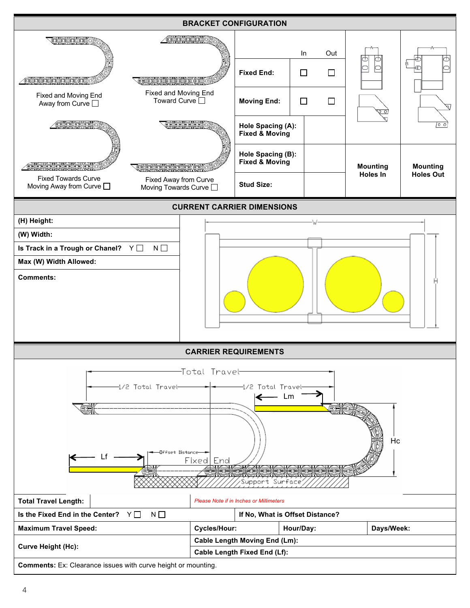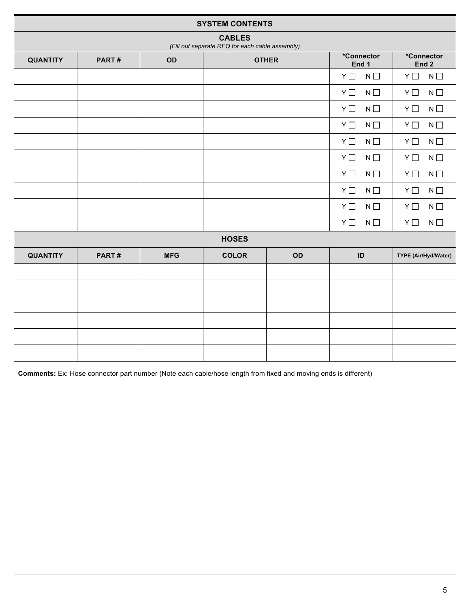| <b>SYSTEM CONTENTS</b>                                           |       |            |              |    |                         |                           |  |  |  |  |  |
|------------------------------------------------------------------|-------|------------|--------------|----|-------------------------|---------------------------|--|--|--|--|--|
| <b>CABLES</b><br>(Fill out separate RFQ for each cable assembly) |       |            |              |    |                         |                           |  |  |  |  |  |
| <b>QUANTITY</b>                                                  | PART# | OD         | <b>OTHER</b> |    | *Connector<br>End 1     | *Connector<br>End 2       |  |  |  |  |  |
|                                                                  |       |            |              |    | $N\ \Box$<br>$Y \Box$   | $Y \Box$<br>$N \Box$      |  |  |  |  |  |
|                                                                  |       |            |              |    | $N \square$<br>$Y \Box$ | $Y \Box$<br>$N \Box$      |  |  |  |  |  |
|                                                                  |       |            |              |    | $Y \Box$<br>$N \Box$    | $Y \Box$<br>$N \Box$      |  |  |  |  |  |
|                                                                  |       |            |              |    | $Y \Box$<br>$N \Box$    | $Y \Box$<br>$N \Box$      |  |  |  |  |  |
|                                                                  |       |            |              |    | $Y \Box$<br>$N \square$ | $N\,\Box$<br>$Y \Box$     |  |  |  |  |  |
|                                                                  |       |            |              |    | $Y \Box$<br>$N \Box$    | $Y \Box$<br>$N$ $\square$ |  |  |  |  |  |
|                                                                  |       |            |              |    | $Y \Box$<br>$N \square$ | $Y \Box$<br>$N \Box$      |  |  |  |  |  |
|                                                                  |       |            |              |    | $Y \Box$<br>$N \Box$    | $N \Box$<br>$Y \Box$      |  |  |  |  |  |
|                                                                  |       |            |              |    | $Y \Box$<br>$N \square$ | $N \Box$<br>$Y \Box$      |  |  |  |  |  |
|                                                                  |       |            |              |    | $Y \Box$<br>$N \Box$    | $N\ \Box$<br>$Y \Box$     |  |  |  |  |  |
| <b>HOSES</b>                                                     |       |            |              |    |                         |                           |  |  |  |  |  |
| <b>QUANTITY</b>                                                  | PART# | <b>MFG</b> | <b>COLOR</b> | OD | ID                      | TYPE (Air/Hyd/Water)      |  |  |  |  |  |
|                                                                  |       |            |              |    |                         |                           |  |  |  |  |  |
|                                                                  |       |            |              |    |                         |                           |  |  |  |  |  |
|                                                                  |       |            |              |    |                         |                           |  |  |  |  |  |
|                                                                  |       |            |              |    |                         |                           |  |  |  |  |  |
|                                                                  |       |            |              |    |                         |                           |  |  |  |  |  |
|                                                                  |       |            |              |    |                         |                           |  |  |  |  |  |
|                                                                  |       |            |              |    |                         |                           |  |  |  |  |  |

**Comments:** Ex: Hose connector part number (Note each cable/hose length from fixed and moving ends is different)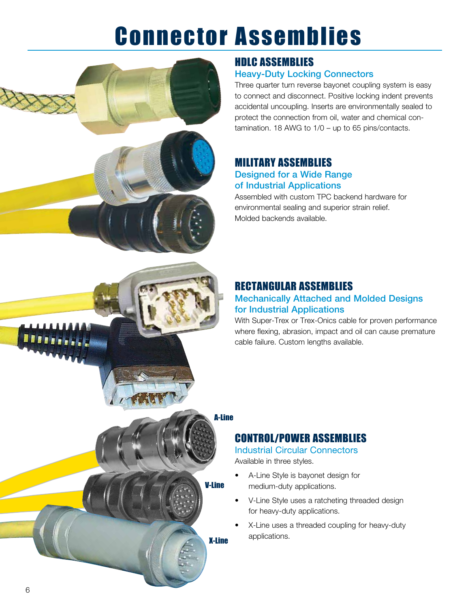## Connector Assemblies



#### HDLC ASSEMBLIES Heavy-Duty Locking Connectors

Three quarter turn reverse bayonet coupling system is easy to connect and disconnect. Positive locking indent prevents accidental uncoupling. Inserts are environmentally sealed to protect the connection from oil, water and chemical contamination. 18 AWG to 1/0 – up to 65 pins/contacts.

#### MILITARY ASSEMBLIES

#### Designed for a Wide Range of Industrial Applications

Assembled with custom TPC backend hardware for environmental sealing and superior strain relief. Molded backends available.

#### RECTANGULAR ASSEMBLIES

#### Mechanically Attached and Molded Designs for Industrial Applications

With Super-Trex or Trex-Onics cable for proven performance where flexing, abrasion, impact and oil can cause premature cable failure. Custom lengths available.

#### A-Line

#### CONTROL/POWER ASSEMBLIES

#### Industrial Circular Connectors Available in three styles.

- • A-Line Style is bayonet design for medium-duty applications.
- • V-Line Style uses a ratcheting threaded design for heavy-duty applications.
- X-Line uses a threaded coupling for heavy-duty applications.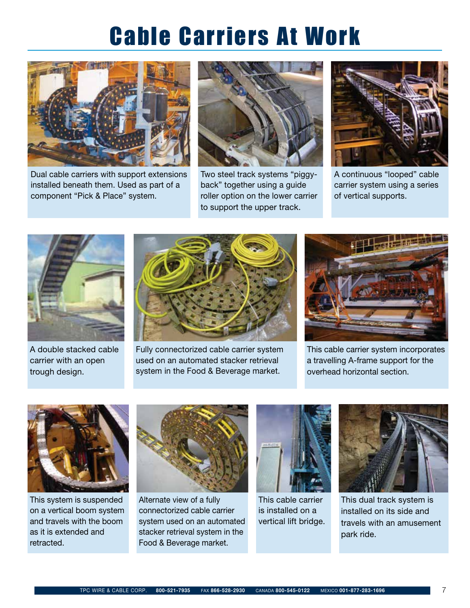## Cable Carriers At Work



Dual cable carriers with support extensions installed beneath them. Used as part of a component "Pick & Place" system.



Two steel track systems "piggyback" together using a guide roller option on the lower carrier to support the upper track.



A continuous "looped" cable carrier system using a series of vertical supports.



A double stacked cable carrier with an open trough design.



Fully connectorized cable carrier system used on an automated stacker retrieval system in the Food & Beverage market.



This cable carrier system incorporates a travelling A-frame support for the overhead horizontal section.



This system is suspended on a vertical boom system and travels with the boom as it is extended and retracted.



Alternate view of a fully connectorized cable carrier system used on an automated stacker retrieval system in the Food & Beverage market.



This cable carrier is installed on a vertical lift bridge.



This dual track system is installed on its side and travels with an amusement park ride.